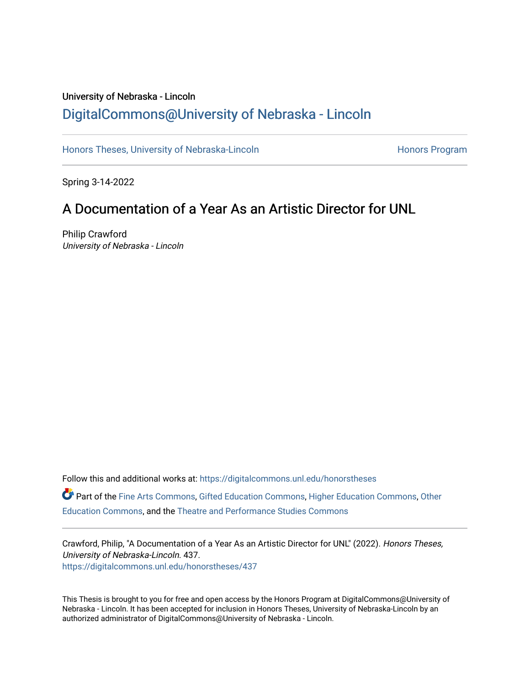# University of Nebraska - Lincoln [DigitalCommons@University of Nebraska - Lincoln](https://digitalcommons.unl.edu/)

[Honors Theses, University of Nebraska-Lincoln](https://digitalcommons.unl.edu/honorstheses) **Honors Program** Honors Program

Spring 3-14-2022

# A Documentation of a Year As an Artistic Director for UNL

Philip Crawford University of Nebraska - Lincoln

Follow this and additional works at: [https://digitalcommons.unl.edu/honorstheses](https://digitalcommons.unl.edu/honorstheses?utm_source=digitalcommons.unl.edu%2Fhonorstheses%2F437&utm_medium=PDF&utm_campaign=PDFCoverPages) Part of the [Fine Arts Commons,](http://network.bepress.com/hgg/discipline/1141?utm_source=digitalcommons.unl.edu%2Fhonorstheses%2F437&utm_medium=PDF&utm_campaign=PDFCoverPages) [Gifted Education Commons](http://network.bepress.com/hgg/discipline/1048?utm_source=digitalcommons.unl.edu%2Fhonorstheses%2F437&utm_medium=PDF&utm_campaign=PDFCoverPages), [Higher Education Commons,](http://network.bepress.com/hgg/discipline/1245?utm_source=digitalcommons.unl.edu%2Fhonorstheses%2F437&utm_medium=PDF&utm_campaign=PDFCoverPages) [Other](http://network.bepress.com/hgg/discipline/811?utm_source=digitalcommons.unl.edu%2Fhonorstheses%2F437&utm_medium=PDF&utm_campaign=PDFCoverPages) [Education Commons,](http://network.bepress.com/hgg/discipline/811?utm_source=digitalcommons.unl.edu%2Fhonorstheses%2F437&utm_medium=PDF&utm_campaign=PDFCoverPages) and the [Theatre and Performance Studies Commons](http://network.bepress.com/hgg/discipline/552?utm_source=digitalcommons.unl.edu%2Fhonorstheses%2F437&utm_medium=PDF&utm_campaign=PDFCoverPages) 

Crawford, Philip, "A Documentation of a Year As an Artistic Director for UNL" (2022). Honors Theses, University of Nebraska-Lincoln. 437. [https://digitalcommons.unl.edu/honorstheses/437](https://digitalcommons.unl.edu/honorstheses/437?utm_source=digitalcommons.unl.edu%2Fhonorstheses%2F437&utm_medium=PDF&utm_campaign=PDFCoverPages)

This Thesis is brought to you for free and open access by the Honors Program at DigitalCommons@University of Nebraska - Lincoln. It has been accepted for inclusion in Honors Theses, University of Nebraska-Lincoln by an authorized administrator of DigitalCommons@University of Nebraska - Lincoln.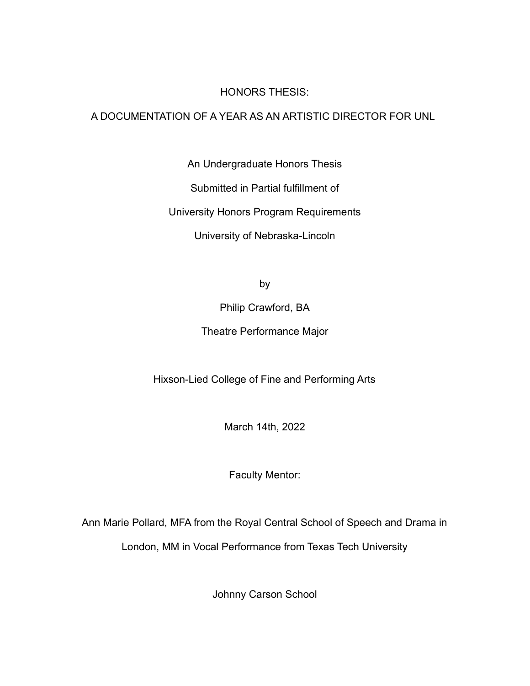# HONORS THESIS:

# A DOCUMENTATION OF A YEAR AS AN ARTISTIC DIRECTOR FOR UNL

An Undergraduate Honors Thesis

Submitted in Partial fulfillment of

University Honors Program Requirements

University of Nebraska-Lincoln

by

Philip Crawford, BA

Theatre Performance Major

Hixson-Lied College of Fine and Performing Arts

March 14th, 2022

Faculty Mentor:

Ann Marie Pollard, MFA from the Royal Central School of Speech and Drama in

London, MM in Vocal Performance from Texas Tech University

Johnny Carson School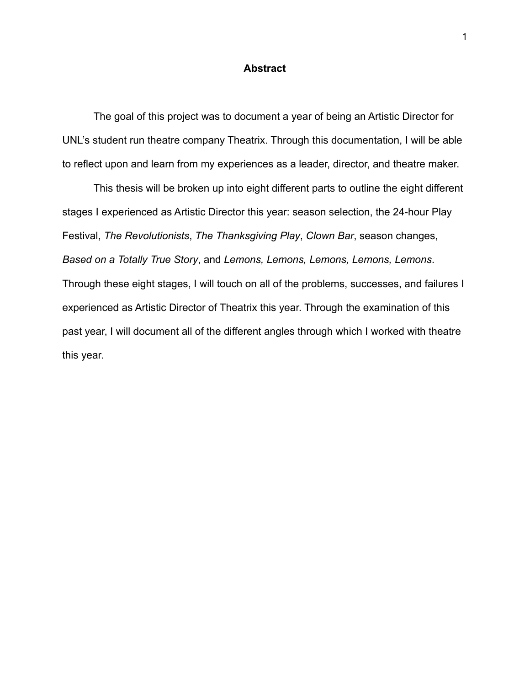## **Abstract**

The goal of this project was to document a year of being an Artistic Director for UNL's student run theatre company Theatrix. Through this documentation, I will be able to reflect upon and learn from my experiences as a leader, director, and theatre maker.

This thesis will be broken up into eight different parts to outline the eight different stages I experienced as Artistic Director this year: season selection, the 24-hour Play Festival, *The Revolutionists*, *The Thanksgiving Play*, *Clown Bar*, season changes, *Based on a Totally True Story*, and *Lemons, Lemons, Lemons, Lemons, Lemons*. Through these eight stages, I will touch on all of the problems, successes, and failures I experienced as Artistic Director of Theatrix this year. Through the examination of this past year, I will document all of the different angles through which I worked with theatre this year.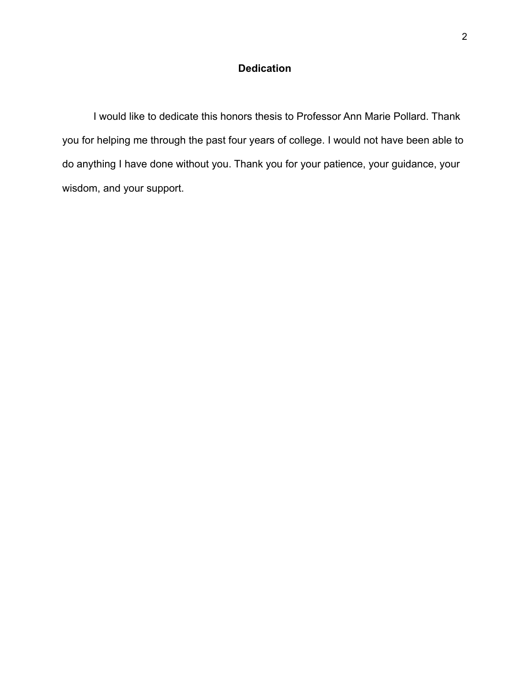# **Dedication**

I would like to dedicate this honors thesis to Professor Ann Marie Pollard. Thank you for helping me through the past four years of college. I would not have been able to do anything I have done without you. Thank you for your patience, your guidance, your wisdom, and your support.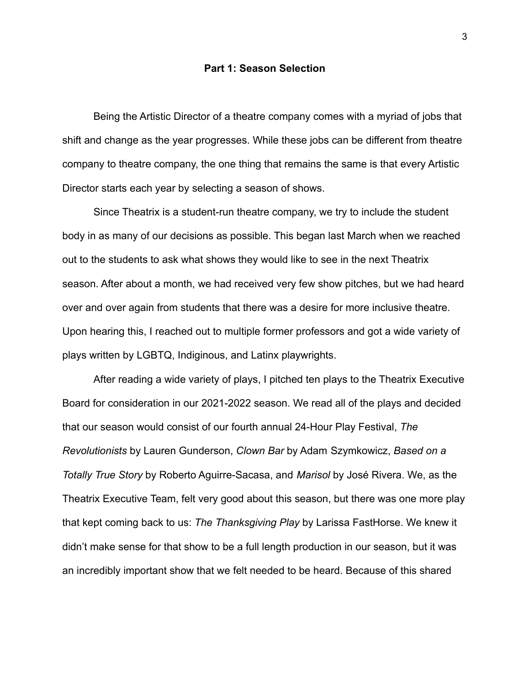### **Part 1: Season Selection**

Being the Artistic Director of a theatre company comes with a myriad of jobs that shift and change as the year progresses. While these jobs can be different from theatre company to theatre company, the one thing that remains the same is that every Artistic Director starts each year by selecting a season of shows.

Since Theatrix is a student-run theatre company, we try to include the student body in as many of our decisions as possible. This began last March when we reached out to the students to ask what shows they would like to see in the next Theatrix season. After about a month, we had received very few show pitches, but we had heard over and over again from students that there was a desire for more inclusive theatre. Upon hearing this, I reached out to multiple former professors and got a wide variety of plays written by LGBTQ, Indiginous, and Latinx playwrights.

After reading a wide variety of plays, I pitched ten plays to the Theatrix Executive Board for consideration in our 2021-2022 season. We read all of the plays and decided that our season would consist of our fourth annual 24-Hour Play Festival, *The Revolutionists* by Lauren Gunderson, *Clown Bar* by Adam Szymkowicz, *Based on a Totally True Story* by Roberto Aguirre-Sacasa, and *Marisol* by José Rivera. We, as the Theatrix Executive Team, felt very good about this season, but there was one more play that kept coming back to us: *The Thanksgiving Play* by Larissa FastHorse. We knew it didn't make sense for that show to be a full length production in our season, but it was an incredibly important show that we felt needed to be heard. Because of this shared

3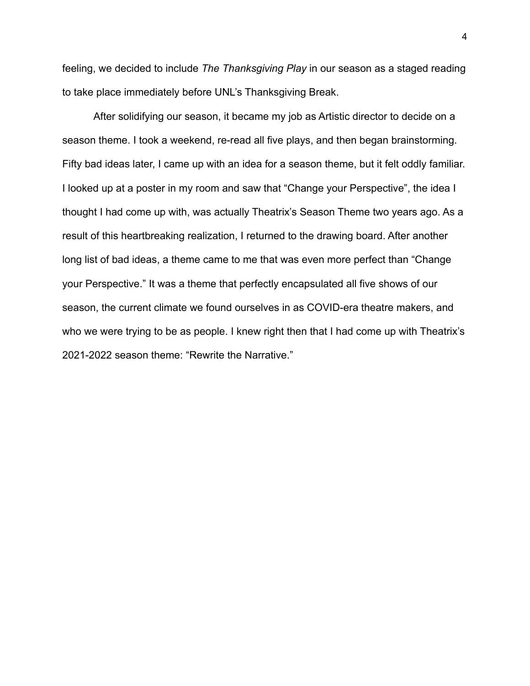feeling, we decided to include *The Thanksgiving Play* in our season as a staged reading to take place immediately before UNL's Thanksgiving Break.

After solidifying our season, it became my job as Artistic director to decide on a season theme. I took a weekend, re-read all five plays, and then began brainstorming. Fifty bad ideas later, I came up with an idea for a season theme, but it felt oddly familiar. I looked up at a poster in my room and saw that "Change your Perspective", the idea I thought I had come up with, was actually Theatrix's Season Theme two years ago. As a result of this heartbreaking realization, I returned to the drawing board. After another long list of bad ideas, a theme came to me that was even more perfect than "Change your Perspective." It was a theme that perfectly encapsulated all five shows of our season, the current climate we found ourselves in as COVID-era theatre makers, and who we were trying to be as people. I knew right then that I had come up with Theatrix's 2021-2022 season theme: "Rewrite the Narrative."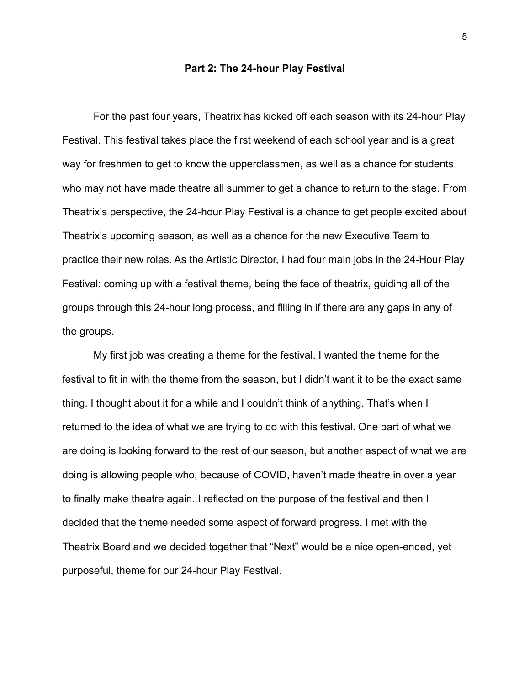#### **Part 2: The 24-hour Play Festival**

For the past four years, Theatrix has kicked off each season with its 24-hour Play Festival. This festival takes place the first weekend of each school year and is a great way for freshmen to get to know the upperclassmen, as well as a chance for students who may not have made theatre all summer to get a chance to return to the stage. From Theatrix's perspective, the 24-hour Play Festival is a chance to get people excited about Theatrix's upcoming season, as well as a chance for the new Executive Team to practice their new roles. As the Artistic Director, I had four main jobs in the 24-Hour Play Festival: coming up with a festival theme, being the face of theatrix, guiding all of the groups through this 24-hour long process, and filling in if there are any gaps in any of the groups.

My first job was creating a theme for the festival. I wanted the theme for the festival to fit in with the theme from the season, but I didn't want it to be the exact same thing. I thought about it for a while and I couldn't think of anything. That's when I returned to the idea of what we are trying to do with this festival. One part of what we are doing is looking forward to the rest of our season, but another aspect of what we are doing is allowing people who, because of COVID, haven't made theatre in over a year to finally make theatre again. I reflected on the purpose of the festival and then I decided that the theme needed some aspect of forward progress. I met with the Theatrix Board and we decided together that "Next" would be a nice open-ended, yet purposeful, theme for our 24-hour Play Festival.

5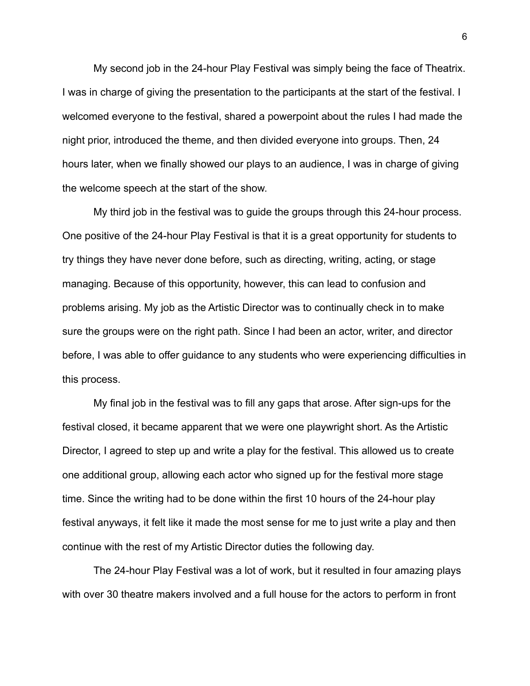My second job in the 24-hour Play Festival was simply being the face of Theatrix. I was in charge of giving the presentation to the participants at the start of the festival. I welcomed everyone to the festival, shared a powerpoint about the rules I had made the night prior, introduced the theme, and then divided everyone into groups. Then, 24 hours later, when we finally showed our plays to an audience, I was in charge of giving the welcome speech at the start of the show.

My third job in the festival was to guide the groups through this 24-hour process. One positive of the 24-hour Play Festival is that it is a great opportunity for students to try things they have never done before, such as directing, writing, acting, or stage managing. Because of this opportunity, however, this can lead to confusion and problems arising. My job as the Artistic Director was to continually check in to make sure the groups were on the right path. Since I had been an actor, writer, and director before, I was able to offer guidance to any students who were experiencing difficulties in this process.

My final job in the festival was to fill any gaps that arose. After sign-ups for the festival closed, it became apparent that we were one playwright short. As the Artistic Director, I agreed to step up and write a play for the festival. This allowed us to create one additional group, allowing each actor who signed up for the festival more stage time. Since the writing had to be done within the first 10 hours of the 24-hour play festival anyways, it felt like it made the most sense for me to just write a play and then continue with the rest of my Artistic Director duties the following day.

The 24-hour Play Festival was a lot of work, but it resulted in four amazing plays with over 30 theatre makers involved and a full house for the actors to perform in front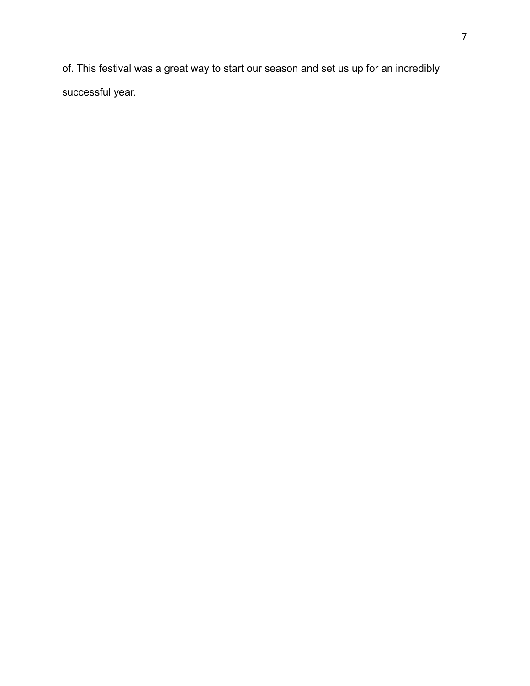of. This festival was a great way to start our season and set us up for an incredibly successful year.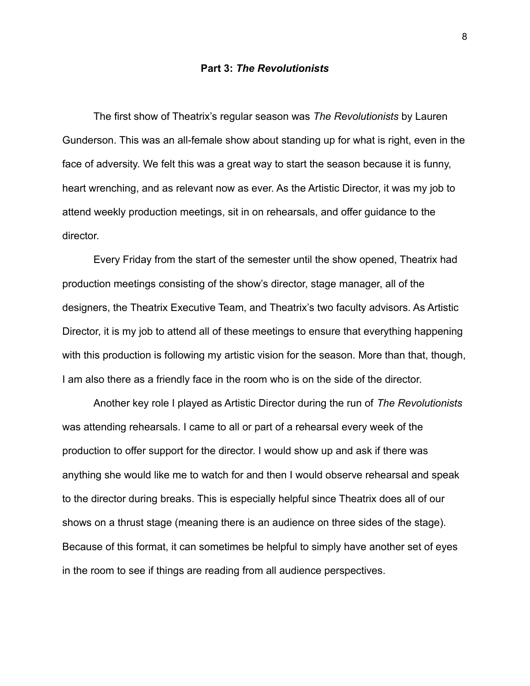### **Part 3:** *The Revolutionists*

The first show of Theatrix's regular season was *The Revolutionists* by Lauren Gunderson. This was an all-female show about standing up for what is right, even in the face of adversity. We felt this was a great way to start the season because it is funny, heart wrenching, and as relevant now as ever. As the Artistic Director, it was my job to attend weekly production meetings, sit in on rehearsals, and offer guidance to the director.

Every Friday from the start of the semester until the show opened, Theatrix had production meetings consisting of the show's director, stage manager, all of the designers, the Theatrix Executive Team, and Theatrix's two faculty advisors. As Artistic Director, it is my job to attend all of these meetings to ensure that everything happening with this production is following my artistic vision for the season. More than that, though, I am also there as a friendly face in the room who is on the side of the director.

Another key role I played as Artistic Director during the run of *The Revolutionists* was attending rehearsals. I came to all or part of a rehearsal every week of the production to offer support for the director. I would show up and ask if there was anything she would like me to watch for and then I would observe rehearsal and speak to the director during breaks. This is especially helpful since Theatrix does all of our shows on a thrust stage (meaning there is an audience on three sides of the stage). Because of this format, it can sometimes be helpful to simply have another set of eyes in the room to see if things are reading from all audience perspectives.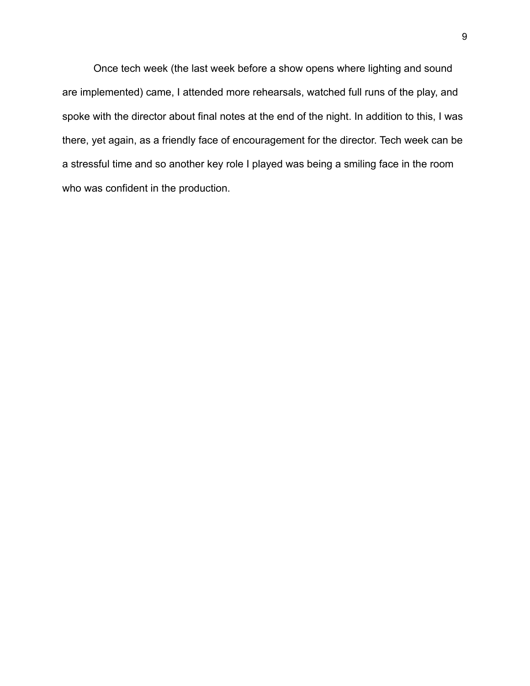Once tech week (the last week before a show opens where lighting and sound are implemented) came, I attended more rehearsals, watched full runs of the play, and spoke with the director about final notes at the end of the night. In addition to this, I was there, yet again, as a friendly face of encouragement for the director. Tech week can be a stressful time and so another key role I played was being a smiling face in the room who was confident in the production.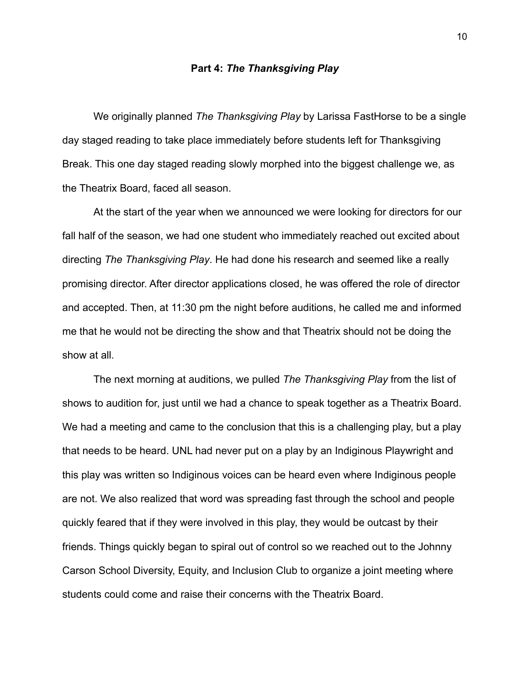#### **Part 4:** *The Thanksgiving Play*

We originally planned *The Thanksgiving Play* by Larissa FastHorse to be a single day staged reading to take place immediately before students left for Thanksgiving Break. This one day staged reading slowly morphed into the biggest challenge we, as the Theatrix Board, faced all season.

At the start of the year when we announced we were looking for directors for our fall half of the season, we had one student who immediately reached out excited about directing *The Thanksgiving Play*. He had done his research and seemed like a really promising director. After director applications closed, he was offered the role of director and accepted. Then, at 11:30 pm the night before auditions, he called me and informed me that he would not be directing the show and that Theatrix should not be doing the show at all.

The next morning at auditions, we pulled *The Thanksgiving Play* from the list of shows to audition for, just until we had a chance to speak together as a Theatrix Board. We had a meeting and came to the conclusion that this is a challenging play, but a play that needs to be heard. UNL had never put on a play by an Indiginous Playwright and this play was written so Indiginous voices can be heard even where Indiginous people are not. We also realized that word was spreading fast through the school and people quickly feared that if they were involved in this play, they would be outcast by their friends. Things quickly began to spiral out of control so we reached out to the Johnny Carson School Diversity, Equity, and Inclusion Club to organize a joint meeting where students could come and raise their concerns with the Theatrix Board.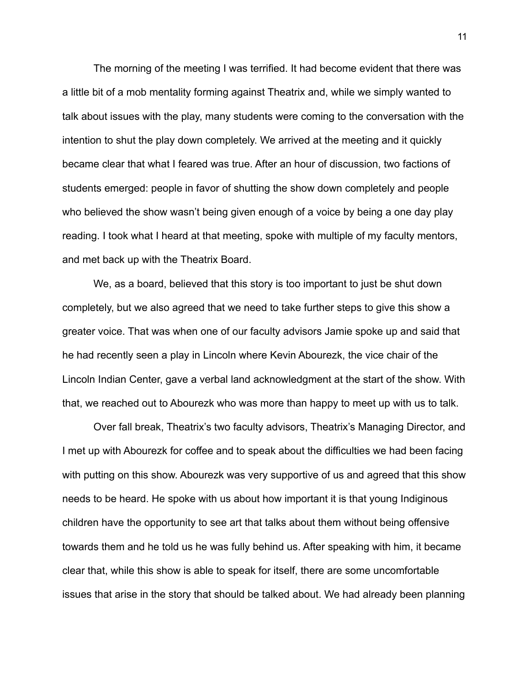The morning of the meeting I was terrified. It had become evident that there was a little bit of a mob mentality forming against Theatrix and, while we simply wanted to talk about issues with the play, many students were coming to the conversation with the intention to shut the play down completely. We arrived at the meeting and it quickly became clear that what I feared was true. After an hour of discussion, two factions of students emerged: people in favor of shutting the show down completely and people who believed the show wasn't being given enough of a voice by being a one day play reading. I took what I heard at that meeting, spoke with multiple of my faculty mentors, and met back up with the Theatrix Board.

We, as a board, believed that this story is too important to just be shut down completely, but we also agreed that we need to take further steps to give this show a greater voice. That was when one of our faculty advisors Jamie spoke up and said that he had recently seen a play in Lincoln where Kevin Abourezk, the vice chair of the Lincoln Indian Center, gave a verbal land acknowledgment at the start of the show. With that, we reached out to Abourezk who was more than happy to meet up with us to talk.

Over fall break, Theatrix's two faculty advisors, Theatrix's Managing Director, and I met up with Abourezk for coffee and to speak about the difficulties we had been facing with putting on this show. Abourezk was very supportive of us and agreed that this show needs to be heard. He spoke with us about how important it is that young Indiginous children have the opportunity to see art that talks about them without being offensive towards them and he told us he was fully behind us. After speaking with him, it became clear that, while this show is able to speak for itself, there are some uncomfortable issues that arise in the story that should be talked about. We had already been planning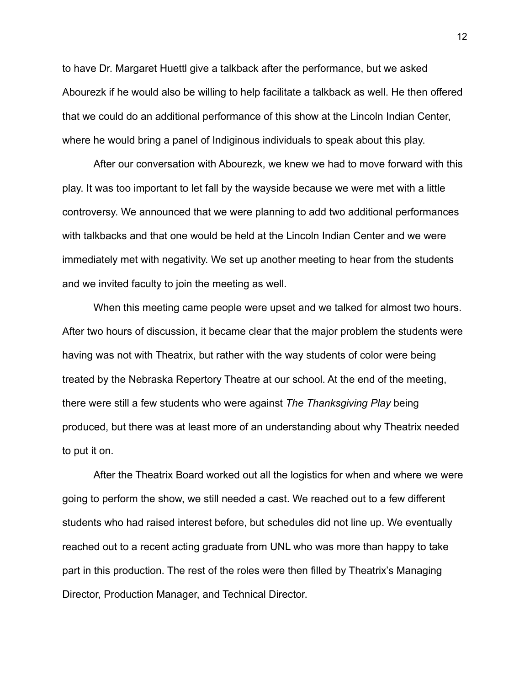to have Dr. Margaret Huettl give a talkback after the performance, but we asked Abourezk if he would also be willing to help facilitate a talkback as well. He then offered that we could do an additional performance of this show at the Lincoln Indian Center, where he would bring a panel of Indiginous individuals to speak about this play.

After our conversation with Abourezk, we knew we had to move forward with this play. It was too important to let fall by the wayside because we were met with a little controversy. We announced that we were planning to add two additional performances with talkbacks and that one would be held at the Lincoln Indian Center and we were immediately met with negativity. We set up another meeting to hear from the students and we invited faculty to join the meeting as well.

When this meeting came people were upset and we talked for almost two hours. After two hours of discussion, it became clear that the major problem the students were having was not with Theatrix, but rather with the way students of color were being treated by the Nebraska Repertory Theatre at our school. At the end of the meeting, there were still a few students who were against *The Thanksgiving Play* being produced, but there was at least more of an understanding about why Theatrix needed to put it on.

After the Theatrix Board worked out all the logistics for when and where we were going to perform the show, we still needed a cast. We reached out to a few different students who had raised interest before, but schedules did not line up. We eventually reached out to a recent acting graduate from UNL who was more than happy to take part in this production. The rest of the roles were then filled by Theatrix's Managing Director, Production Manager, and Technical Director.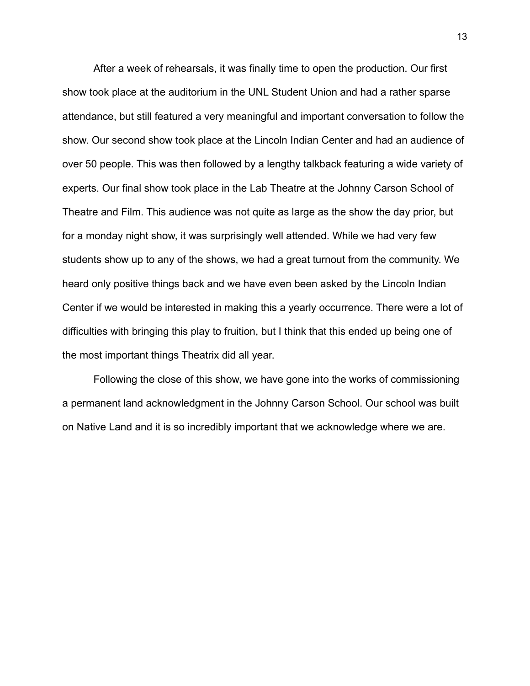After a week of rehearsals, it was finally time to open the production. Our first show took place at the auditorium in the UNL Student Union and had a rather sparse attendance, but still featured a very meaningful and important conversation to follow the show. Our second show took place at the Lincoln Indian Center and had an audience of over 50 people. This was then followed by a lengthy talkback featuring a wide variety of experts. Our final show took place in the Lab Theatre at the Johnny Carson School of Theatre and Film. This audience was not quite as large as the show the day prior, but for a monday night show, it was surprisingly well attended. While we had very few students show up to any of the shows, we had a great turnout from the community. We heard only positive things back and we have even been asked by the Lincoln Indian Center if we would be interested in making this a yearly occurrence. There were a lot of difficulties with bringing this play to fruition, but I think that this ended up being one of the most important things Theatrix did all year.

Following the close of this show, we have gone into the works of commissioning a permanent land acknowledgment in the Johnny Carson School. Our school was built on Native Land and it is so incredibly important that we acknowledge where we are.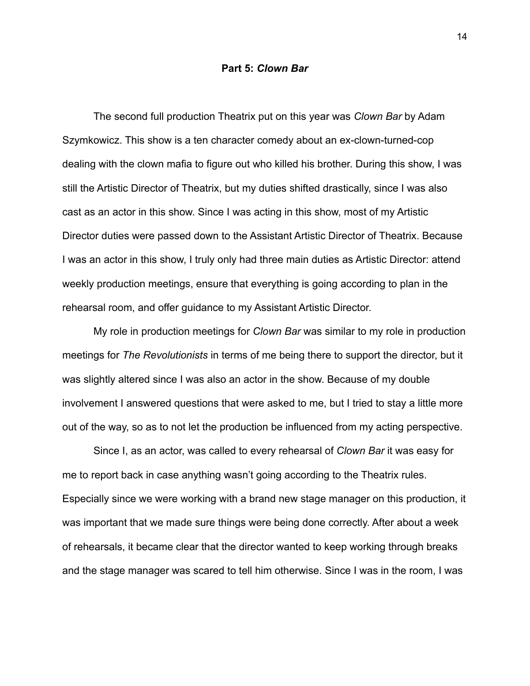## **Part 5:** *Clown Bar*

The second full production Theatrix put on this year was *Clown Bar* by Adam Szymkowicz. This show is a ten character comedy about an ex-clown-turned-cop dealing with the clown mafia to figure out who killed his brother. During this show, I was still the Artistic Director of Theatrix, but my duties shifted drastically, since I was also cast as an actor in this show. Since I was acting in this show, most of my Artistic Director duties were passed down to the Assistant Artistic Director of Theatrix. Because I was an actor in this show, I truly only had three main duties as Artistic Director: attend weekly production meetings, ensure that everything is going according to plan in the rehearsal room, and offer guidance to my Assistant Artistic Director.

My role in production meetings for *Clown Bar* was similar to my role in production meetings for *The Revolutionists* in terms of me being there to support the director, but it was slightly altered since I was also an actor in the show. Because of my double involvement I answered questions that were asked to me, but I tried to stay a little more out of the way, so as to not let the production be influenced from my acting perspective.

Since I, as an actor, was called to every rehearsal of *Clown Bar* it was easy for me to report back in case anything wasn't going according to the Theatrix rules. Especially since we were working with a brand new stage manager on this production, it was important that we made sure things were being done correctly. After about a week of rehearsals, it became clear that the director wanted to keep working through breaks and the stage manager was scared to tell him otherwise. Since I was in the room, I was

14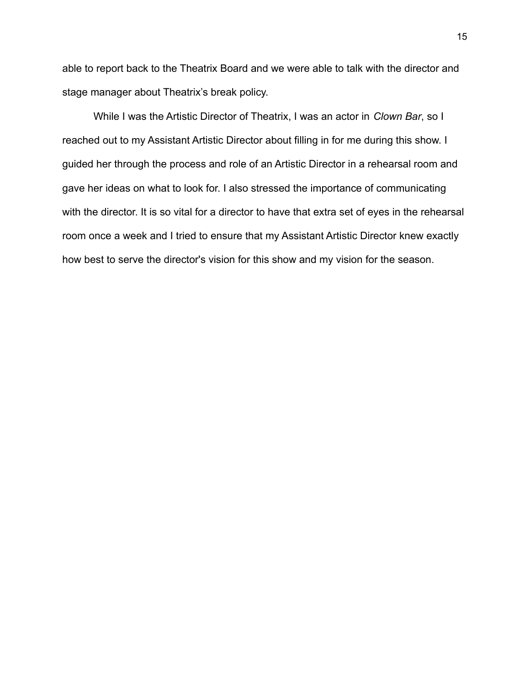able to report back to the Theatrix Board and we were able to talk with the director and stage manager about Theatrix's break policy.

While I was the Artistic Director of Theatrix, I was an actor in *Clown Bar*, so I reached out to my Assistant Artistic Director about filling in for me during this show. I guided her through the process and role of an Artistic Director in a rehearsal room and gave her ideas on what to look for. I also stressed the importance of communicating with the director. It is so vital for a director to have that extra set of eyes in the rehearsal room once a week and I tried to ensure that my Assistant Artistic Director knew exactly how best to serve the director's vision for this show and my vision for the season.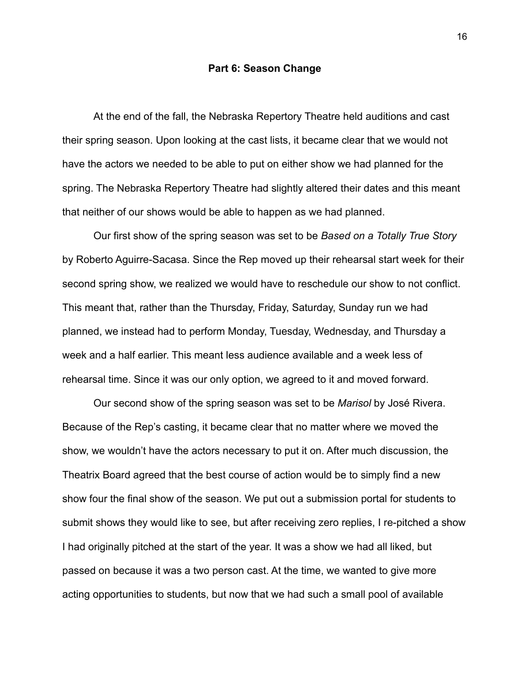#### **Part 6: Season Change**

At the end of the fall, the Nebraska Repertory Theatre held auditions and cast their spring season. Upon looking at the cast lists, it became clear that we would not have the actors we needed to be able to put on either show we had planned for the spring. The Nebraska Repertory Theatre had slightly altered their dates and this meant that neither of our shows would be able to happen as we had planned.

Our first show of the spring season was set to be *Based on a Totally True Story* by Roberto Aguirre-Sacasa. Since the Rep moved up their rehearsal start week for their second spring show, we realized we would have to reschedule our show to not conflict. This meant that, rather than the Thursday, Friday, Saturday, Sunday run we had planned, we instead had to perform Monday, Tuesday, Wednesday, and Thursday a week and a half earlier. This meant less audience available and a week less of rehearsal time. Since it was our only option, we agreed to it and moved forward.

Our second show of the spring season was set to be *Marisol* by José Rivera. Because of the Rep's casting, it became clear that no matter where we moved the show, we wouldn't have the actors necessary to put it on. After much discussion, the Theatrix Board agreed that the best course of action would be to simply find a new show four the final show of the season. We put out a submission portal for students to submit shows they would like to see, but after receiving zero replies, I re-pitched a show I had originally pitched at the start of the year. It was a show we had all liked, but passed on because it was a two person cast. At the time, we wanted to give more acting opportunities to students, but now that we had such a small pool of available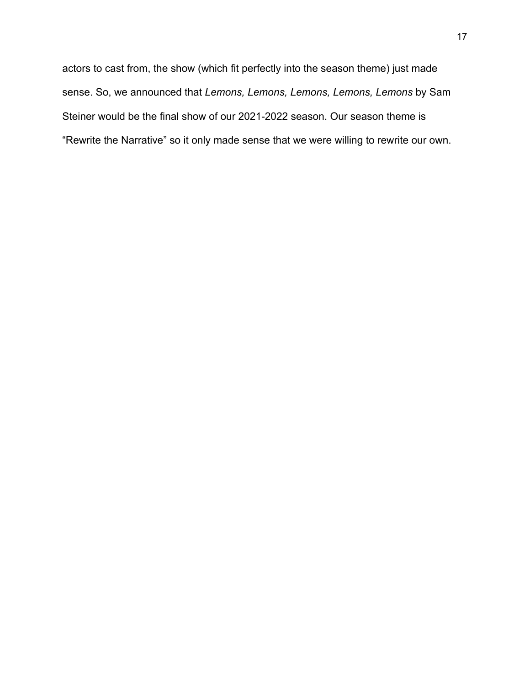actors to cast from, the show (which fit perfectly into the season theme) just made sense. So, we announced that *Lemons, Lemons, Lemons, Lemons, Lemons* by Sam Steiner would be the final show of our 2021-2022 season. Our season theme is "Rewrite the Narrative" so it only made sense that we were willing to rewrite our own.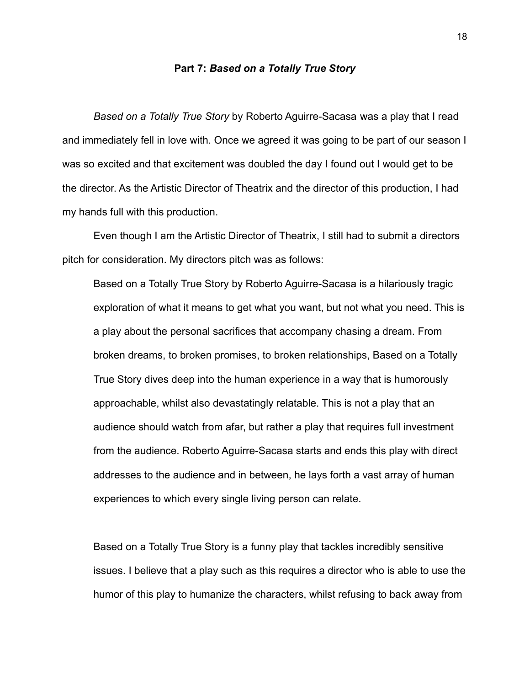#### **Part 7:** *Based on a Totally True Story*

*Based on a Totally True Story* by Roberto Aguirre-Sacasa was a play that I read and immediately fell in love with. Once we agreed it was going to be part of our season I was so excited and that excitement was doubled the day I found out I would get to be the director. As the Artistic Director of Theatrix and the director of this production, I had my hands full with this production.

Even though I am the Artistic Director of Theatrix, I still had to submit a directors pitch for consideration. My directors pitch was as follows:

Based on a Totally True Story by Roberto Aguirre-Sacasa is a hilariously tragic exploration of what it means to get what you want, but not what you need. This is a play about the personal sacrifices that accompany chasing a dream. From broken dreams, to broken promises, to broken relationships, Based on a Totally True Story dives deep into the human experience in a way that is humorously approachable, whilst also devastatingly relatable. This is not a play that an audience should watch from afar, but rather a play that requires full investment from the audience. Roberto Aguirre-Sacasa starts and ends this play with direct addresses to the audience and in between, he lays forth a vast array of human experiences to which every single living person can relate.

Based on a Totally True Story is a funny play that tackles incredibly sensitive issues. I believe that a play such as this requires a director who is able to use the humor of this play to humanize the characters, whilst refusing to back away from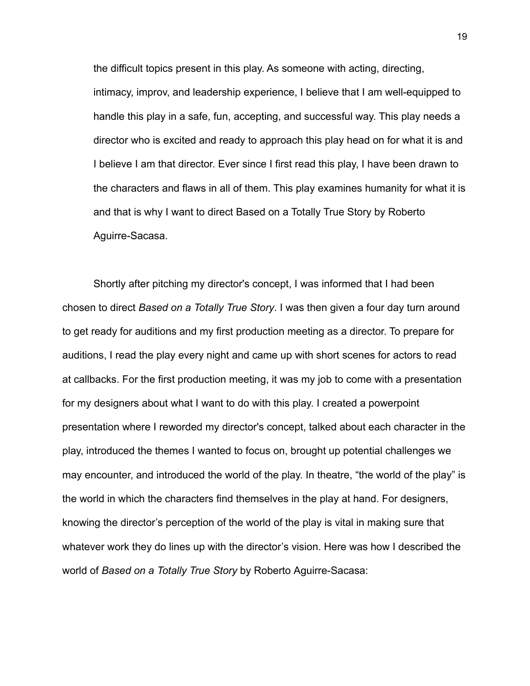the difficult topics present in this play. As someone with acting, directing, intimacy, improv, and leadership experience, I believe that I am well-equipped to handle this play in a safe, fun, accepting, and successful way. This play needs a director who is excited and ready to approach this play head on for what it is and I believe I am that director. Ever since I first read this play, I have been drawn to the characters and flaws in all of them. This play examines humanity for what it is and that is why I want to direct Based on a Totally True Story by Roberto Aguirre-Sacasa.

Shortly after pitching my director's concept, I was informed that I had been chosen to direct *Based on a Totally True Story*. I was then given a four day turn around to get ready for auditions and my first production meeting as a director. To prepare for auditions, I read the play every night and came up with short scenes for actors to read at callbacks. For the first production meeting, it was my job to come with a presentation for my designers about what I want to do with this play. I created a powerpoint presentation where I reworded my director's concept, talked about each character in the play, introduced the themes I wanted to focus on, brought up potential challenges we may encounter, and introduced the world of the play. In theatre, "the world of the play" is the world in which the characters find themselves in the play at hand. For designers, knowing the director's perception of the world of the play is vital in making sure that whatever work they do lines up with the director's vision. Here was how I described the world of *Based on a Totally True Story* by Roberto Aguirre-Sacasa: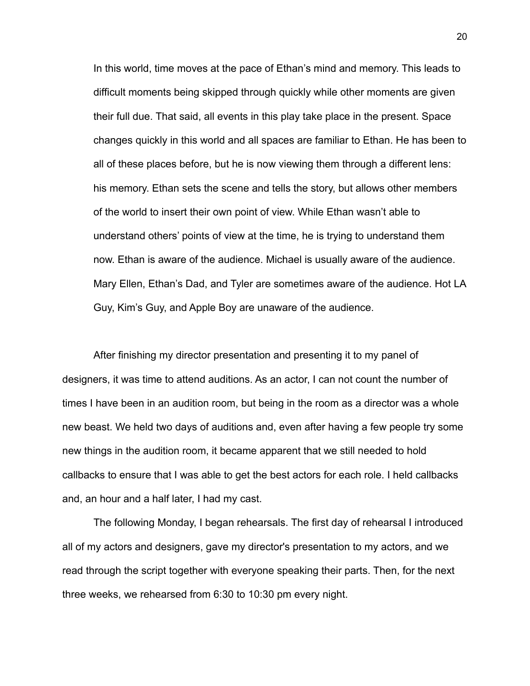In this world, time moves at the pace of Ethan's mind and memory. This leads to difficult moments being skipped through quickly while other moments are given their full due. That said, all events in this play take place in the present. Space changes quickly in this world and all spaces are familiar to Ethan. He has been to all of these places before, but he is now viewing them through a different lens: his memory. Ethan sets the scene and tells the story, but allows other members of the world to insert their own point of view. While Ethan wasn't able to understand others' points of view at the time, he is trying to understand them now. Ethan is aware of the audience. Michael is usually aware of the audience. Mary Ellen, Ethan's Dad, and Tyler are sometimes aware of the audience. Hot LA Guy, Kim's Guy, and Apple Boy are unaware of the audience.

After finishing my director presentation and presenting it to my panel of designers, it was time to attend auditions. As an actor, I can not count the number of times I have been in an audition room, but being in the room as a director was a whole new beast. We held two days of auditions and, even after having a few people try some new things in the audition room, it became apparent that we still needed to hold callbacks to ensure that I was able to get the best actors for each role. I held callbacks and, an hour and a half later, I had my cast.

The following Monday, I began rehearsals. The first day of rehearsal I introduced all of my actors and designers, gave my director's presentation to my actors, and we read through the script together with everyone speaking their parts. Then, for the next three weeks, we rehearsed from 6:30 to 10:30 pm every night.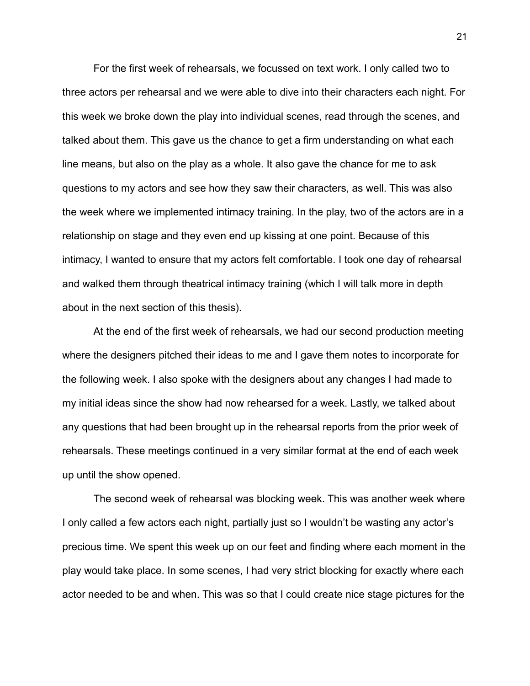For the first week of rehearsals, we focussed on text work. I only called two to three actors per rehearsal and we were able to dive into their characters each night. For this week we broke down the play into individual scenes, read through the scenes, and talked about them. This gave us the chance to get a firm understanding on what each line means, but also on the play as a whole. It also gave the chance for me to ask questions to my actors and see how they saw their characters, as well. This was also the week where we implemented intimacy training. In the play, two of the actors are in a relationship on stage and they even end up kissing at one point. Because of this intimacy, I wanted to ensure that my actors felt comfortable. I took one day of rehearsal and walked them through theatrical intimacy training (which I will talk more in depth about in the next section of this thesis).

At the end of the first week of rehearsals, we had our second production meeting where the designers pitched their ideas to me and I gave them notes to incorporate for the following week. I also spoke with the designers about any changes I had made to my initial ideas since the show had now rehearsed for a week. Lastly, we talked about any questions that had been brought up in the rehearsal reports from the prior week of rehearsals. These meetings continued in a very similar format at the end of each week up until the show opened.

The second week of rehearsal was blocking week. This was another week where I only called a few actors each night, partially just so I wouldn't be wasting any actor's precious time. We spent this week up on our feet and finding where each moment in the play would take place. In some scenes, I had very strict blocking for exactly where each actor needed to be and when. This was so that I could create nice stage pictures for the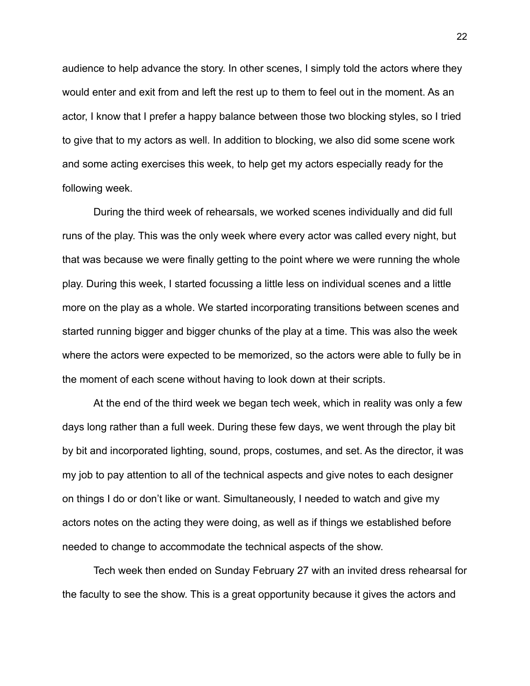audience to help advance the story. In other scenes, I simply told the actors where they would enter and exit from and left the rest up to them to feel out in the moment. As an actor, I know that I prefer a happy balance between those two blocking styles, so I tried to give that to my actors as well. In addition to blocking, we also did some scene work and some acting exercises this week, to help get my actors especially ready for the following week.

During the third week of rehearsals, we worked scenes individually and did full runs of the play. This was the only week where every actor was called every night, but that was because we were finally getting to the point where we were running the whole play. During this week, I started focussing a little less on individual scenes and a little more on the play as a whole. We started incorporating transitions between scenes and started running bigger and bigger chunks of the play at a time. This was also the week where the actors were expected to be memorized, so the actors were able to fully be in the moment of each scene without having to look down at their scripts.

At the end of the third week we began tech week, which in reality was only a few days long rather than a full week. During these few days, we went through the play bit by bit and incorporated lighting, sound, props, costumes, and set. As the director, it was my job to pay attention to all of the technical aspects and give notes to each designer on things I do or don't like or want. Simultaneously, I needed to watch and give my actors notes on the acting they were doing, as well as if things we established before needed to change to accommodate the technical aspects of the show.

Tech week then ended on Sunday February 27 with an invited dress rehearsal for the faculty to see the show. This is a great opportunity because it gives the actors and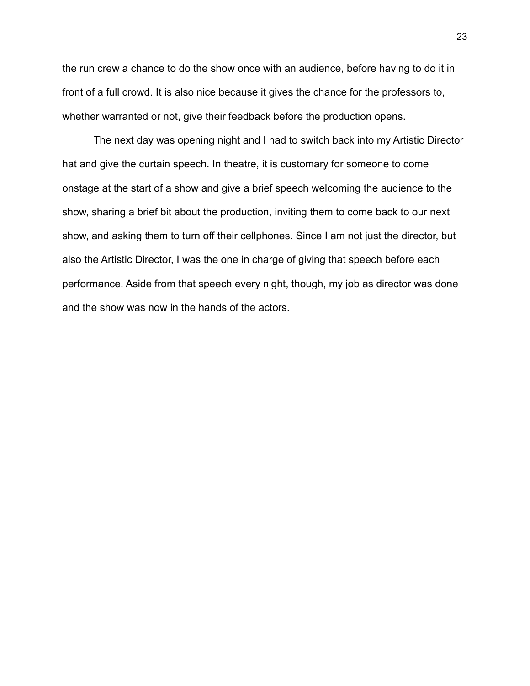the run crew a chance to do the show once with an audience, before having to do it in front of a full crowd. It is also nice because it gives the chance for the professors to, whether warranted or not, give their feedback before the production opens.

The next day was opening night and I had to switch back into my Artistic Director hat and give the curtain speech. In theatre, it is customary for someone to come onstage at the start of a show and give a brief speech welcoming the audience to the show, sharing a brief bit about the production, inviting them to come back to our next show, and asking them to turn off their cellphones. Since I am not just the director, but also the Artistic Director, I was the one in charge of giving that speech before each performance. Aside from that speech every night, though, my job as director was done and the show was now in the hands of the actors.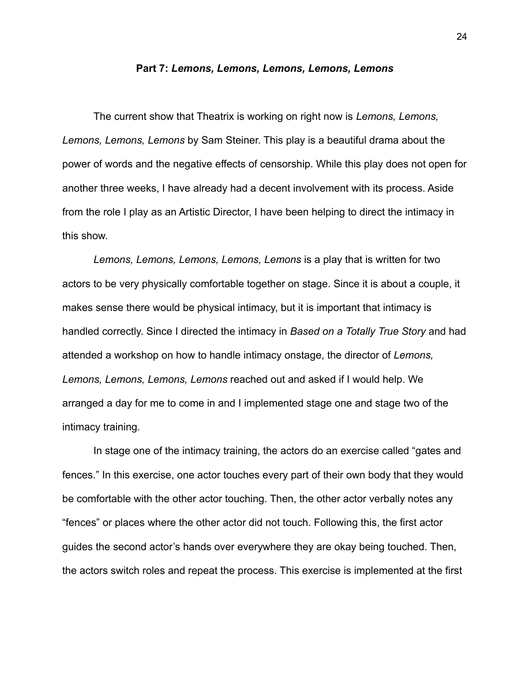#### **Part 7:** *Lemons, Lemons, Lemons, Lemons, Lemons*

The current show that Theatrix is working on right now is *Lemons, Lemons, Lemons, Lemons, Lemons* by Sam Steiner. This play is a beautiful drama about the power of words and the negative effects of censorship. While this play does not open for another three weeks, I have already had a decent involvement with its process. Aside from the role I play as an Artistic Director, I have been helping to direct the intimacy in this show.

*Lemons, Lemons, Lemons, Lemons, Lemons* is a play that is written for two actors to be very physically comfortable together on stage. Since it is about a couple, it makes sense there would be physical intimacy, but it is important that intimacy is handled correctly. Since I directed the intimacy in *Based on a Totally True Story* and had attended a workshop on how to handle intimacy onstage, the director of *Lemons, Lemons, Lemons, Lemons, Lemons* reached out and asked if I would help. We arranged a day for me to come in and I implemented stage one and stage two of the intimacy training.

In stage one of the intimacy training, the actors do an exercise called "gates and fences." In this exercise, one actor touches every part of their own body that they would be comfortable with the other actor touching. Then, the other actor verbally notes any "fences" or places where the other actor did not touch. Following this, the first actor guides the second actor's hands over everywhere they are okay being touched. Then, the actors switch roles and repeat the process. This exercise is implemented at the first

24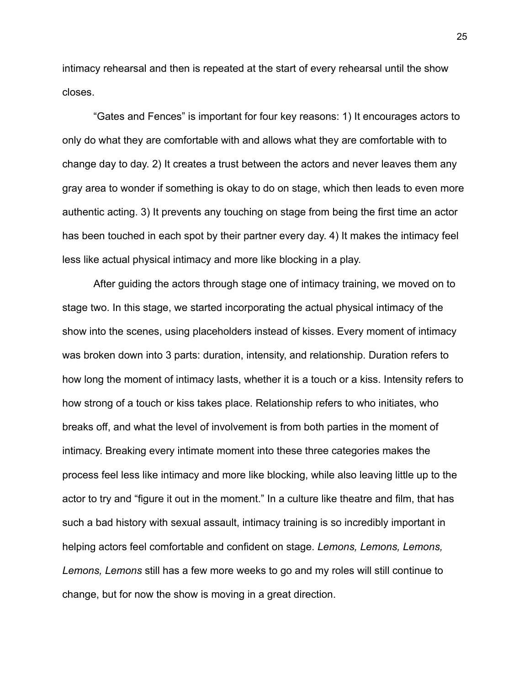intimacy rehearsal and then is repeated at the start of every rehearsal until the show closes.

"Gates and Fences" is important for four key reasons: 1) It encourages actors to only do what they are comfortable with and allows what they are comfortable with to change day to day. 2) It creates a trust between the actors and never leaves them any gray area to wonder if something is okay to do on stage, which then leads to even more authentic acting. 3) It prevents any touching on stage from being the first time an actor has been touched in each spot by their partner every day. 4) It makes the intimacy feel less like actual physical intimacy and more like blocking in a play.

After guiding the actors through stage one of intimacy training, we moved on to stage two. In this stage, we started incorporating the actual physical intimacy of the show into the scenes, using placeholders instead of kisses. Every moment of intimacy was broken down into 3 parts: duration, intensity, and relationship. Duration refers to how long the moment of intimacy lasts, whether it is a touch or a kiss. Intensity refers to how strong of a touch or kiss takes place. Relationship refers to who initiates, who breaks off, and what the level of involvement is from both parties in the moment of intimacy. Breaking every intimate moment into these three categories makes the process feel less like intimacy and more like blocking, while also leaving little up to the actor to try and "figure it out in the moment." In a culture like theatre and film, that has such a bad history with sexual assault, intimacy training is so incredibly important in helping actors feel comfortable and confident on stage. *Lemons, Lemons, Lemons, Lemons, Lemons* still has a few more weeks to go and my roles will still continue to change, but for now the show is moving in a great direction.